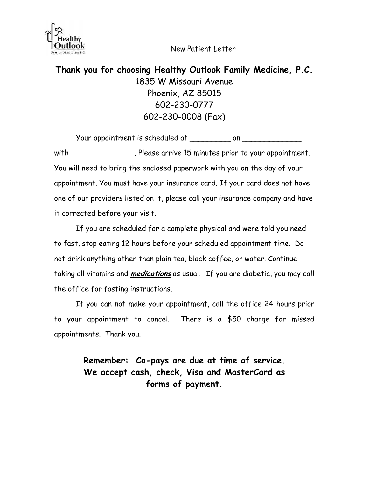New Patient Letter



**Thank you for choosing Healthy Outlook Family Medicine, P.C.**  1835 W Missouri Avenue Phoenix, AZ 85015 602-230-0777 602-230-0008 (Fax)

Your appointment is scheduled at \_\_\_\_\_\_\_\_\_ on \_\_\_\_\_\_\_\_

with \_\_\_\_\_\_\_\_\_\_\_\_\_\_\_\_. Please arrive 15 minutes prior to your appointment. You will need to bring the enclosed paperwork with you on the day of your appointment. You must have your insurance card. If your card does not have one of our providers listed on it, please call your insurance company and have it corrected before your visit.

If you are scheduled for a complete physical and were told you need to fast, stop eating 12 hours before your scheduled appointment time. Do not drink anything other than plain tea, black coffee, or water. Continue taking all vitamins and **medications** as usual. If you are diabetic, you may call the office for fasting instructions.

If you can not make your appointment, call the office 24 hours prior to your appointment to cancel. There is a \$50 charge for missed appointments. Thank you.

> **Remember: Co-pays are due at time of service. We accept cash, check, Visa and MasterCard as forms of payment.**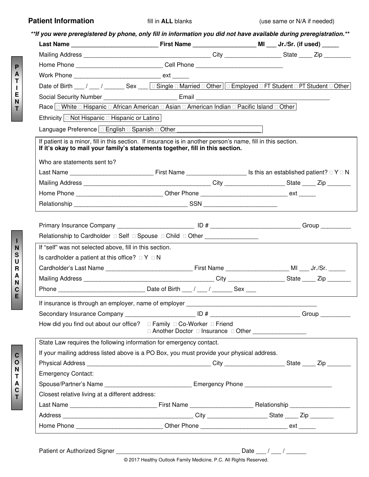| <b>Patient Information</b><br>**If you were preregistered by phone, only fill in information you did not have available during preregistration.**<br>Home Phone ________________________________Cell Phone __________________________<br>Work Phone ___________________________________ ext ______<br>Date of Birth __/ __/ ____/ Sex __ Gingle □ Married □ Other Gemployed □ FT Student □ PT Student □ Other<br>Race   White D Hispanic D African American D Asian D American Indian D Pacific Island D Other | fill in <b>ALL</b> blanks                               |  | (use same or N/A if needed) |  |
|----------------------------------------------------------------------------------------------------------------------------------------------------------------------------------------------------------------------------------------------------------------------------------------------------------------------------------------------------------------------------------------------------------------------------------------------------------------------------------------------------------------|---------------------------------------------------------|--|-----------------------------|--|
|                                                                                                                                                                                                                                                                                                                                                                                                                                                                                                                |                                                         |  |                             |  |
|                                                                                                                                                                                                                                                                                                                                                                                                                                                                                                                |                                                         |  |                             |  |
|                                                                                                                                                                                                                                                                                                                                                                                                                                                                                                                |                                                         |  |                             |  |
|                                                                                                                                                                                                                                                                                                                                                                                                                                                                                                                |                                                         |  |                             |  |
|                                                                                                                                                                                                                                                                                                                                                                                                                                                                                                                |                                                         |  |                             |  |
|                                                                                                                                                                                                                                                                                                                                                                                                                                                                                                                |                                                         |  |                             |  |
|                                                                                                                                                                                                                                                                                                                                                                                                                                                                                                                |                                                         |  |                             |  |
|                                                                                                                                                                                                                                                                                                                                                                                                                                                                                                                |                                                         |  |                             |  |
|                                                                                                                                                                                                                                                                                                                                                                                                                                                                                                                |                                                         |  |                             |  |
| Ethnicity $\Box$ Not Hispanic $\Box$ Hispanic or Latino                                                                                                                                                                                                                                                                                                                                                                                                                                                        |                                                         |  |                             |  |
| Language Preference   □ English □ Spanish □ Other _____________________________                                                                                                                                                                                                                                                                                                                                                                                                                                |                                                         |  |                             |  |
| If patient is a minor, fill in this section. If insurance is in another person's name, fill in this section.<br>If it's okay to mail your family's statements together, fill in this section.<br>Who are statements sent to?                                                                                                                                                                                                                                                                                   |                                                         |  |                             |  |
|                                                                                                                                                                                                                                                                                                                                                                                                                                                                                                                |                                                         |  |                             |  |
|                                                                                                                                                                                                                                                                                                                                                                                                                                                                                                                |                                                         |  |                             |  |
| Home Phone _______________________________Other Phone _________________________________ext _______                                                                                                                                                                                                                                                                                                                                                                                                             |                                                         |  |                             |  |
|                                                                                                                                                                                                                                                                                                                                                                                                                                                                                                                |                                                         |  |                             |  |
|                                                                                                                                                                                                                                                                                                                                                                                                                                                                                                                |                                                         |  |                             |  |
|                                                                                                                                                                                                                                                                                                                                                                                                                                                                                                                |                                                         |  |                             |  |
| If "self" was not selected above, fill in this section.                                                                                                                                                                                                                                                                                                                                                                                                                                                        |                                                         |  |                             |  |
| Is cardholder a patient at this office? $\Box Y \Box N$                                                                                                                                                                                                                                                                                                                                                                                                                                                        |                                                         |  |                             |  |
|                                                                                                                                                                                                                                                                                                                                                                                                                                                                                                                |                                                         |  |                             |  |
|                                                                                                                                                                                                                                                                                                                                                                                                                                                                                                                |                                                         |  |                             |  |
|                                                                                                                                                                                                                                                                                                                                                                                                                                                                                                                |                                                         |  |                             |  |
|                                                                                                                                                                                                                                                                                                                                                                                                                                                                                                                |                                                         |  |                             |  |
|                                                                                                                                                                                                                                                                                                                                                                                                                                                                                                                |                                                         |  |                             |  |
|                                                                                                                                                                                                                                                                                                                                                                                                                                                                                                                |                                                         |  |                             |  |
| How did you find out about our office? $\Box$ Family $\Box$ Co-Worker $\Box$ Friend                                                                                                                                                                                                                                                                                                                                                                                                                            | □ Another Doctor □ Insurance □ Other __________________ |  |                             |  |
| State Law requires the following information for emergency contact.                                                                                                                                                                                                                                                                                                                                                                                                                                            |                                                         |  |                             |  |
| If your mailing address listed above is a PO Box, you must provide your physical address.                                                                                                                                                                                                                                                                                                                                                                                                                      |                                                         |  |                             |  |
|                                                                                                                                                                                                                                                                                                                                                                                                                                                                                                                |                                                         |  |                             |  |
| <b>Emergency Contact:</b>                                                                                                                                                                                                                                                                                                                                                                                                                                                                                      |                                                         |  |                             |  |
| Spouse/Partner's Name ___________________________________ Emergency Phone __________________________                                                                                                                                                                                                                                                                                                                                                                                                           |                                                         |  |                             |  |
| Closest relative living at a different address:                                                                                                                                                                                                                                                                                                                                                                                                                                                                |                                                         |  |                             |  |

Home Phone \_\_\_\_\_\_\_\_\_\_\_\_\_\_\_\_\_\_\_\_\_\_\_\_\_\_\_\_\_\_\_Other Phone \_\_\_\_\_\_\_\_\_\_\_\_\_\_\_\_\_\_\_\_\_\_\_\_\_\_\_ ext \_\_\_\_\_\_

**C O N T A C T** 

**P A T I E N T**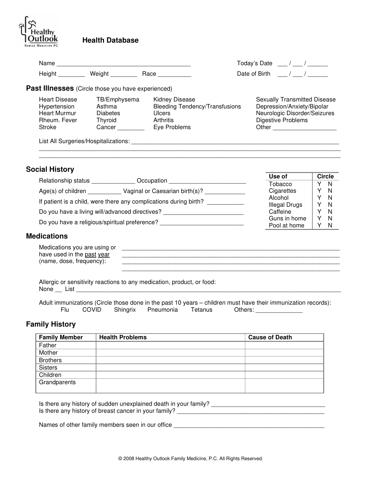

## **Health Database**

| Name<br>Height                                                                        | Weight ________                                                | Race                                                                                                         | Today's Date / /<br>Date of Birth / /                                                                                            |
|---------------------------------------------------------------------------------------|----------------------------------------------------------------|--------------------------------------------------------------------------------------------------------------|----------------------------------------------------------------------------------------------------------------------------------|
| <b>Past Illnesses</b> (Circle those you have experienced)                             |                                                                |                                                                                                              |                                                                                                                                  |
| <b>Heart Disease</b><br>Hypertension<br><b>Heart Murmur</b><br>Rheum, Fever<br>Stroke | TB/Emphysema<br>Asthma<br><b>Diabetes</b><br>Thyroid<br>Cancer | <b>Kidney Disease</b><br><b>Bleeding Tendency/Transfusions</b><br><b>Ulcers</b><br>Arthritis<br>Eye Problems | <b>Sexually Transmitted Disease</b><br>Depression/Anxiety/Bipolar<br>Neurologic Disorder/Seizures<br>Digestive Problems<br>Other |
|                                                                                       | List All Surgeries/Hospitalizations:                           |                                                                                                              |                                                                                                                                  |

#### **Social History**

|                                                                   |                                | Use of               |   | Circle       |
|-------------------------------------------------------------------|--------------------------------|----------------------|---|--------------|
| Relationship status                                               | Occupation                     | Tobacco              | v | - N          |
| $Age(s)$ of children                                              | Vaginal or Caesarian birth(s)? | Cigarettes           |   | - N          |
| If patient is a child, were there any complications during birth? |                                | Alcohol              | v | - N          |
|                                                                   |                                | <b>Illegal Drugs</b> | v | - N          |
| Do you have a living will/advanced directives?                    |                                | Caffeine             | v | - N          |
| Do you have a religious/spiritual preference?                     |                                | Guns in home         | v | - N          |
|                                                                   |                                | Pool at home         |   | <sup>N</sup> |

#### **Medications**

| Medications you are using or |  |
|------------------------------|--|
| have used in the past year   |  |
| (name, dose,<br>trequency'   |  |

\_\_\_\_\_\_\_\_\_\_\_\_\_\_\_\_\_\_\_\_\_\_\_\_\_\_\_\_\_\_\_\_\_\_\_\_\_\_\_\_\_\_\_\_\_\_\_\_\_\_\_\_\_\_\_\_\_\_\_\_\_\_\_\_\_

Allergic or sensitivity reactions to any medication, product, or food: None \_\_ List \_\_\_\_\_\_\_\_\_\_\_\_\_\_\_\_\_\_\_\_\_\_\_\_\_\_\_\_\_\_\_\_\_\_\_\_\_\_\_\_\_\_\_\_\_\_\_\_\_\_\_\_\_\_\_\_\_\_\_\_\_\_\_\_\_\_\_\_\_\_\_\_\_\_\_\_\_\_\_

Adult immunizations (Circle those done in the past 10 years – children must have their immunization records):<br>Flu COVID Shingrix Pneumonia Tetanus Others: Shingrix Pneumonia Tetanus Others:

#### **Family History**

| <b>Family Member</b> | <b>Health Problems</b> | <b>Cause of Death</b> |
|----------------------|------------------------|-----------------------|
| Father               |                        |                       |
| Mother               |                        |                       |
| <b>Brothers</b>      |                        |                       |
| <b>Sisters</b>       |                        |                       |
| Children             |                        |                       |
| Grandparents         |                        |                       |
|                      |                        |                       |

Is there any history of sudden unexplained death in your family? \_\_\_\_\_\_\_\_\_\_\_\_\_\_\_\_\_\_\_\_\_\_\_\_\_\_\_\_\_\_\_\_\_\_ Is there any history of breast cancer in your family?

Names of other family members seen in our office \_\_\_\_\_\_\_\_\_\_\_\_\_\_\_\_\_\_\_\_\_\_\_\_\_\_\_\_\_\_\_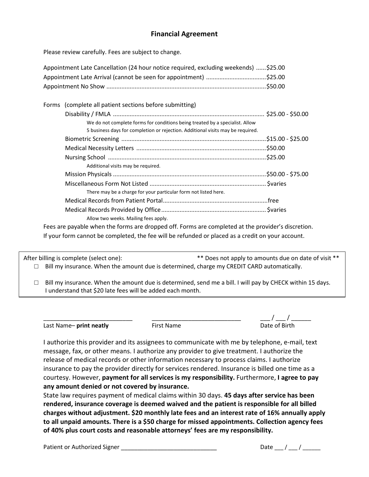## **Financial Agreement**

Please review carefully. Fees are subject to change.

| Appointment Late Cancellation (24 hour notice required, excluding weekends) \$25.00 |  |
|-------------------------------------------------------------------------------------|--|
|                                                                                     |  |
|                                                                                     |  |

| Forms (complete all patient sections before submitting)                                                   |  |
|-----------------------------------------------------------------------------------------------------------|--|
|                                                                                                           |  |
| We do not complete forms for conditions being treated by a specialist. Allow                              |  |
| 5 business days for completion or rejection. Additional visits may be required.                           |  |
|                                                                                                           |  |
|                                                                                                           |  |
|                                                                                                           |  |
| Additional visits may be required.                                                                        |  |
|                                                                                                           |  |
|                                                                                                           |  |
| There may be a charge for your particular form not listed here.                                           |  |
|                                                                                                           |  |
|                                                                                                           |  |
| Allow two weeks. Mailing fees apply.                                                                      |  |
| Fore and national colored the former and discussed off. Former and considered at the magnitude discussion |  |

Fees are payable when the forms are dropped off. Forms are completed at the provider's discretion. If your form cannot be completed, the fee will be refunded or placed as a credit on your account.

After billing is complete (select one):  $*$   $*$  Does not apply to amounts due on date of visit  $**$  $\Box$  Bill my insurance. When the amount due is determined, charge my CREDIT CARD automatically.

 $\Box$  Bill my insurance. When the amount due is determined, send me a bill. I will pay by CHECK within 15 days. I understand that \$20 late fees will be added each month.

Last Name– **print neatly First Name Constant Constant Constant Date of Birth** 

 $\frac{1}{2}$ 

I authorize this provider and its assignees to communicate with me by telephone, e-mail, text message, fax, or other means. I authorize any provider to give treatment. I authorize the release of medical records or other information necessary to process claims. I authorize insurance to pay the provider directly for services rendered. Insurance is billed one time as a courtesy. However, **payment for all services is my responsibility.** Furthermore, **I agree to pay any amount denied or not covered by insurance.**

State law requires payment of medical claims within 30 days. **45 days after service has been rendered, insurance coverage is deemed waived and the patient is responsible for all billed charges without adjustment. \$20 monthly late fees and an interest rate of 16% annually apply to all unpaid amounts. There is a \$50 charge for missed appointments. Collection agency fees of 40% plus court costs and reasonable attorneys' fees are my responsibility.** 

Patient or Authorized Signer  $\frac{1}{2}$  Date  $\frac{1}{2}$  Date  $\frac{1}{2}$  /  $\frac{1}{2}$